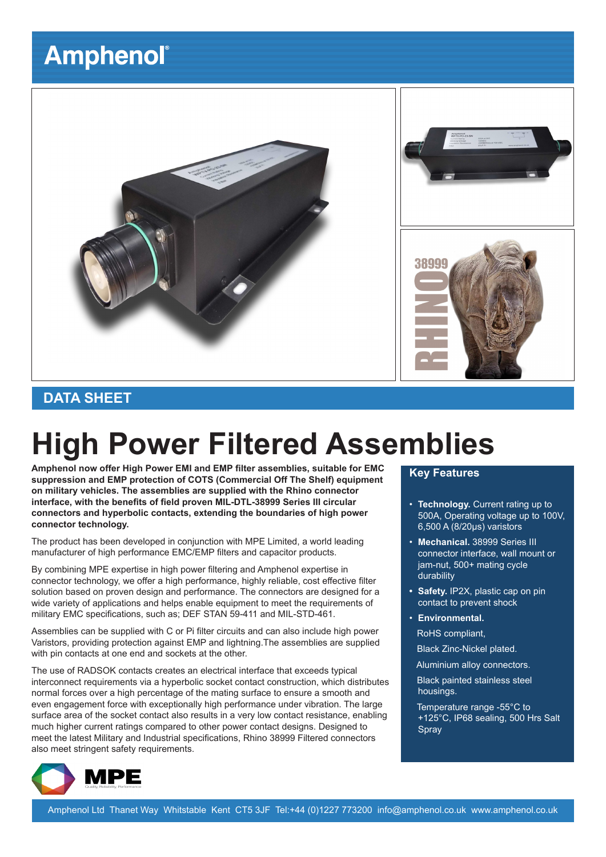# **Amphenol®**



### **DATA SHEET**

# **High Power Filtered Assemblies**

**Amphenol now offer High Power EMI and EMP filter assemblies, suitable for EMC suppression and EMP protection of COTS (Commercial Off The Shelf) equipment on military vehicles. The assemblies are supplied with the Rhino connector interface, with the benefits of field proven MIL-DTL-38999 Series III circular connectors and hyperbolic contacts, extending the boundaries of high power connector technology.**

The product has been developed in conjunction with MPE Limited, a world leading manufacturer of high performance EMC/EMP filters and capacitor products.

By combining MPE expertise in high power filtering and Amphenol expertise in connector technology, we offer a high performance, highly reliable, cost effective filter solution based on proven design and performance. The connectors are designed for a wide variety of applications and helps enable equipment to meet the requirements of military EMC specifications, such as; DEF STAN 59-411 and MIL-STD-461.

Assemblies can be supplied with C or Pi filter circuits and can also include high power Varistors, providing protection against EMP and lightning.The assemblies are supplied with pin contacts at one end and sockets at the other.

The use of RADSOK contacts creates an electrical interface that exceeds typical interconnect requirements via a hyperbolic socket contact construction, which distributes normal forces over a high percentage of the mating surface to ensure a smooth and even engagement force with exceptionally high performance under vibration. The large surface area of the socket contact also results in a very low contact resistance, enabling much higher current ratings compared to other power contact designs. Designed to meet the latest Military and Industrial specifications, Rhino 38999 Filtered connectors also meet stringent safety requirements.

#### **Key Features**

- **Technology.** Current rating up to 500A, Operating voltage up to 100V, 6,500 A (8/20μs) varistors
- **Mechanical.** 38999 Series III connector interface, wall mount or jam-nut, 500+ mating cycle durability
- **• Safety.** IP2X, plastic cap on pin contact to prevent shock
- **Environmental.**

RoHS compliant,

Black Zinc-Nickel plated.

Aluminium alloy connectors.

 Black painted stainless steel housings.

 Temperature range -55°C to +125°C, IP68 sealing, 500 Hrs Salt Spray